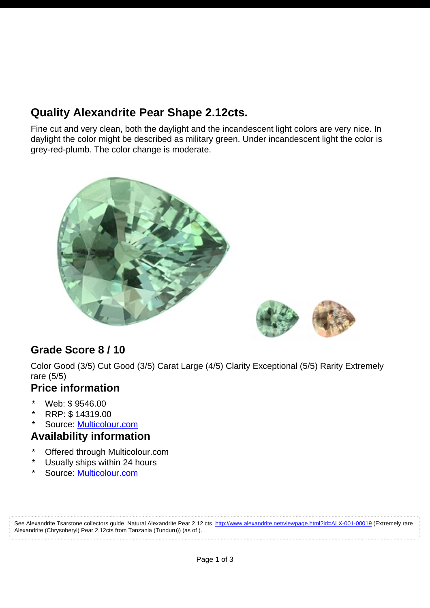# **Quality Alexandrite Pear Shape 2.12cts.**

Fine cut and very clean, both the daylight and the incandescent light colors are very nice. In daylight the color might be described as military green. Under incandescent light the color is grey-red-plumb. The color change is moderate.





## **Grade Score 8 / 10**

Color Good (3/5) Cut Good (3/5) Carat Large (4/5) Clarity Exceptional (5/5) Rarity Extremely rare (5/5)

#### **Price information**

- \* Web: \$ 9546.00
- \* RRP: \$ 14319.00
- Source: [Multicolour.com](http://www.alexandrite.net/directory/gemstone-dealers/multicolour-gems-wdd-003-00001.html)

#### **Availability information**

- \* Offered through Multicolour.com
- Usually ships within 24 hours
- Source: [Multicolour.com](http://www.alexandrite.net/directory/gemstone-dealers/multicolour-gems-wdd-003-00001.html)

See Alexandrite Tsarstone collectors guide, Natural Alexandrite Pear 2.12 cts,<http://www.alexandrite.net/viewpage.html?id=ALX-001-00019>(Extremely rare Alexandrite (Chrysoberyl) Pear 2.12cts from Tanzania (Tunduru)) (as of ).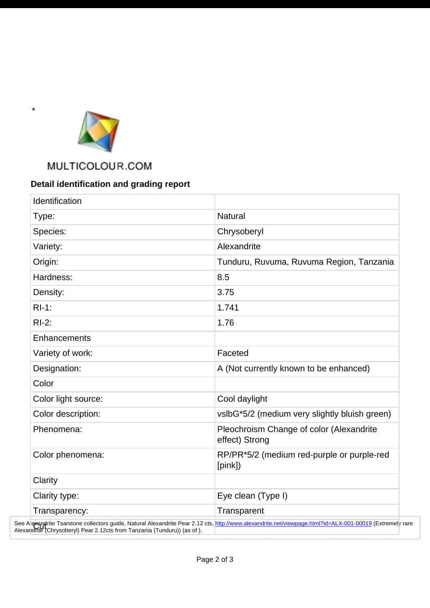

\*

. . . . . . . .

## MULTICOLOUR.COM

## **Detail identification and grading report**

| Identification      |                                                            |
|---------------------|------------------------------------------------------------|
| Type:               | <b>Natural</b>                                             |
| Species:            | Chrysoberyl                                                |
| Variety:            | Alexandrite                                                |
| Origin:             | Tunduru, Ruvuma, Ruvuma Region, Tanzania                   |
| Hardness:           | 8.5                                                        |
| Density:            | 3.75                                                       |
| $RI-1$ :            | 1.741                                                      |
| $RI-2$ :            | 1.76                                                       |
| Enhancements        |                                                            |
| Variety of work:    | Faceted                                                    |
| Designation:        | A (Not currently known to be enhanced)                     |
| Color               |                                                            |
| Color light source: | Cool daylight                                              |
| Color description:  | vslbG*5/2 (medium very slightly bluish green)              |
| Phenomena:          | Pleochroism Change of color (Alexandrite<br>effect) Strong |
| Color phenomena:    | RP/PR*5/2 (medium red-purple or purple-red<br>[pink])      |
| Clarity             |                                                            |
| Clarity type:       | Eye clean (Type I)                                         |
| Transparency:       | Transparent                                                |